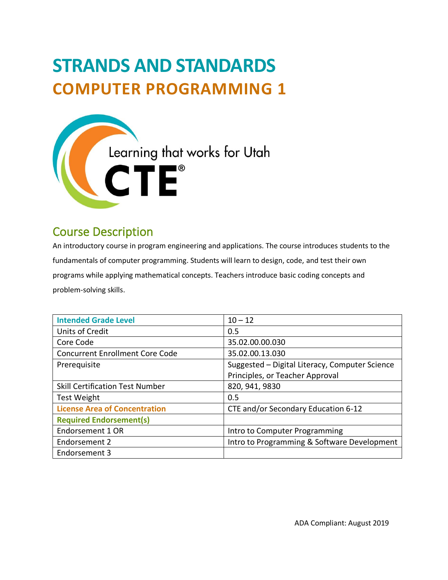# **STRANDS AND STANDARDS COMPUTER PROGRAMMING 1**



# Course Description

An introductory course in program engineering and applications. The course introduces students to the fundamentals of computer programming. Students will learn to design, code, and test their own programs while applying mathematical concepts. Teachers introduce basic coding concepts and problem-solving skills.

| <b>Intended Grade Level</b>            | $10 - 12$                                      |
|----------------------------------------|------------------------------------------------|
| <b>Units of Credit</b>                 | 0.5                                            |
| Core Code                              | 35.02.00.00.030                                |
| <b>Concurrent Enrollment Core Code</b> | 35.02.00.13.030                                |
| Prerequisite                           | Suggested - Digital Literacy, Computer Science |
|                                        | Principles, or Teacher Approval                |
| <b>Skill Certification Test Number</b> | 820, 941, 9830                                 |
| <b>Test Weight</b>                     | 0.5                                            |
| <b>License Area of Concentration</b>   | CTE and/or Secondary Education 6-12            |
| <b>Required Endorsement(s)</b>         |                                                |
| Endorsement 1 OR                       | Intro to Computer Programming                  |
| Endorsement 2                          | Intro to Programming & Software Development    |
| Endorsement 3                          |                                                |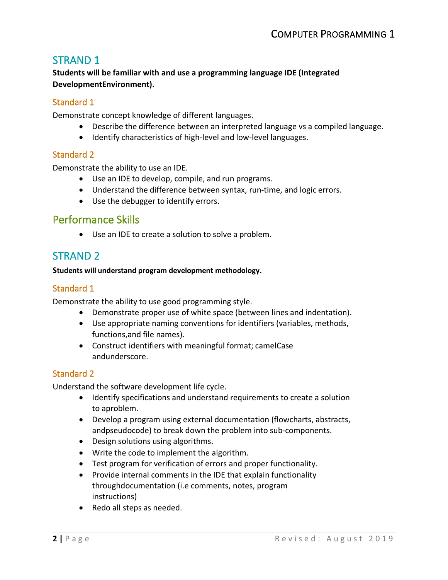# STRAND 1

**Students will be familiar with and use a programming language IDE (Integrated DevelopmentEnvironment).**

#### Standard 1

Demonstrate concept knowledge of different languages.

- Describe the difference between an interpreted language vs a compiled language.
- Identify characteristics of high-level and low-level languages.

#### Standard 2

Demonstrate the ability to use an IDE.

- Use an IDE to develop, compile, and run programs.
- Understand the difference between syntax, run-time, and logic errors.
- Use the debugger to identify errors.

# Performance Skills

• Use an IDE to create a solution to solve a problem.

# STRAND 2

#### **Students will understand program development methodology.**

#### Standard 1

Demonstrate the ability to use good programming style.

- Demonstrate proper use of white space (between lines and indentation).
- Use appropriate naming conventions for identifiers (variables, methods, functions,and file names).
- Construct identifiers with meaningful format; camelCase andunderscore.

#### Standard 2

Understand the software development life cycle.

- Identify specifications and understand requirements to create a solution to aproblem.
- Develop a program using external documentation (flowcharts, abstracts, andpseudocode) to break down the problem into sub-components.
- Design solutions using algorithms.
- Write the code to implement the algorithm.
- Test program for verification of errors and proper functionality.
- Provide internal comments in the IDE that explain functionality throughdocumentation (i.e comments, notes, program instructions)
- Redo all steps as needed.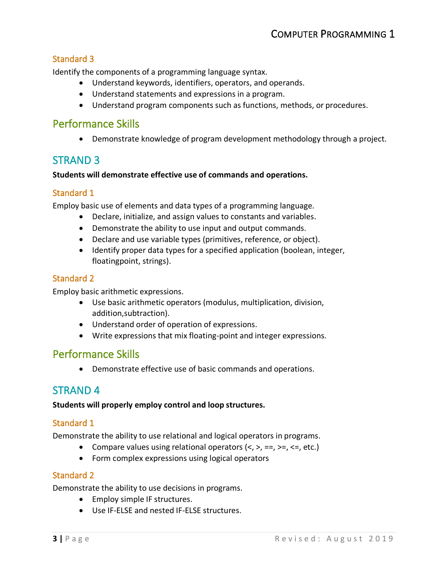#### Standard 3

Identify the components of a programming language syntax.

- Understand keywords, identifiers, operators, and operands.
- Understand statements and expressions in a program.
- Understand program components such as functions, methods, or procedures.

# Performance Skills

• Demonstrate knowledge of program development methodology through a project.

# STRAND 3

#### **Students will demonstrate effective use of commands and operations.**

#### Standard 1

Employ basic use of elements and data types of a programming language.

- Declare, initialize, and assign values to constants and variables.
- Demonstrate the ability to use input and output commands.
- Declare and use variable types (primitives, reference, or object).
- Identify proper data types for a specified application (boolean, integer, floatingpoint, strings).

#### Standard 2

Employ basic arithmetic expressions.

- Use basic arithmetic operators (modulus, multiplication, division, addition,subtraction).
- Understand order of operation of expressions.
- Write expressions that mix floating-point and integer expressions.

# Performance Skills

• Demonstrate effective use of basic commands and operations.

# STRAND 4

#### **Students will properly employ control and loop structures.**

#### Standard 1

Demonstrate the ability to use relational and logical operators in programs.

- Compare values using relational operators  $\langle \langle , \rangle$ , ==, >=,  $\langle \rangle$ , etc.)
- Form complex expressions using logical operators

#### Standard 2

Demonstrate the ability to use decisions in programs.

- Employ simple IF structures.
- Use IF-ELSE and nested IF-ELSE structures.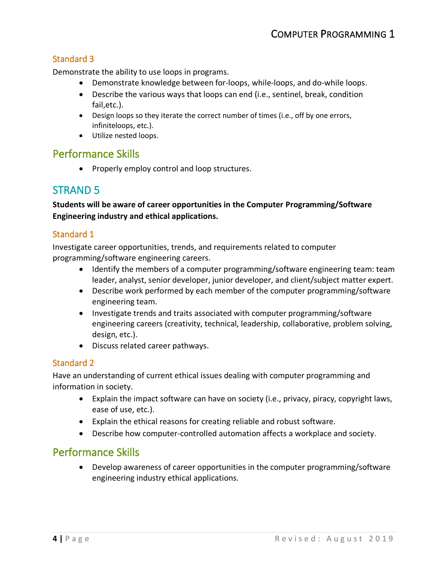#### Standard 3

Demonstrate the ability to use loops in programs.

- Demonstrate knowledge between for-loops, while-loops, and do-while loops.
- Describe the various ways that loops can end (i.e., sentinel, break, condition fail,etc.).
- Design loops so they iterate the correct number of times (i.e., off by one errors, infiniteloops, etc.).
- Utilize nested loops.

#### Performance Skills

• Properly employ control and loop structures.

# STRAND 5

**Students will be aware of career opportunities in the Computer Programming/Software Engineering industry and ethical applications.**

#### Standard 1

Investigate career opportunities, trends, and requirements related to computer programming/software engineering careers.

- Identify the members of a computer programming/software engineering team: team leader, analyst, senior developer, junior developer, and client/subject matter expert.
- Describe work performed by each member of the computer programming/software engineering team.
- Investigate trends and traits associated with computer programming/software engineering careers (creativity, technical, leadership, collaborative, problem solving, design, etc.).
- Discuss related career pathways.

#### Standard 2

Have an understanding of current ethical issues dealing with computer programming and information in society.

- Explain the impact software can have on society (i.e., privacy, piracy, copyright laws, ease of use, etc.).
- Explain the ethical reasons for creating reliable and robust software.
- Describe how computer-controlled automation affects a workplace and society.

### Performance Skills

• Develop awareness of career opportunities in the computer programming/software engineering industry ethical applications.